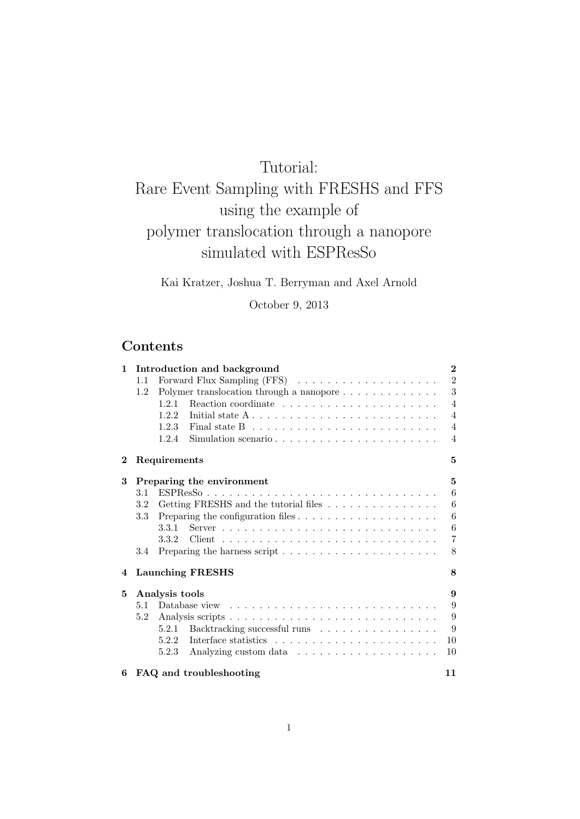# Tutorial:

# Rare Event Sampling with FRESHS and FFS using the example of polymer translocation through a nanopore simulated with ESPResSo

Kai Kratzer, Joshua T. Berryman and Axel Arnold

October 9, 2013

# Contents

| $\mathbf{1}$ | Introduction and background |                                                                                                 |                |  |  |  |  |  |  |  |  |
|--------------|-----------------------------|-------------------------------------------------------------------------------------------------|----------------|--|--|--|--|--|--|--|--|
|              | 1.1                         |                                                                                                 | $\overline{2}$ |  |  |  |  |  |  |  |  |
|              | 1.2                         |                                                                                                 | 3              |  |  |  |  |  |  |  |  |
|              |                             | 1.2.1                                                                                           | $\overline{4}$ |  |  |  |  |  |  |  |  |
|              |                             | Initial state $A \dots \dots \dots \dots \dots \dots \dots \dots \dots \dots$<br>1.2.2          | $\overline{4}$ |  |  |  |  |  |  |  |  |
|              |                             | Final state B $\ldots \ldots \ldots \ldots \ldots \ldots \ldots \ldots$<br>1.2.3                | $\overline{4}$ |  |  |  |  |  |  |  |  |
|              |                             | Simulation scenario<br>1.2.4                                                                    | $\overline{4}$ |  |  |  |  |  |  |  |  |
| $\bf{2}$     |                             | Requirements                                                                                    | 5              |  |  |  |  |  |  |  |  |
| 3            |                             | Preparing the environment                                                                       | 5              |  |  |  |  |  |  |  |  |
|              | 3.1                         |                                                                                                 | 6              |  |  |  |  |  |  |  |  |
|              | $3.2\,$                     | Getting FRESHS and the tutorial files $\hfill\ldots\ldots\ldots\ldots\ldots\ldots\ldots$        | $\,6$          |  |  |  |  |  |  |  |  |
|              | $3.3\,$                     | Preparing the configuration files $\ldots \ldots \ldots \ldots \ldots \ldots$                   | 6              |  |  |  |  |  |  |  |  |
|              |                             | $Server \dots \dots \dots \dots \dots \dots \dots \dots \dots \dots \dots \dots \dots$<br>3.3.1 | 6              |  |  |  |  |  |  |  |  |
|              |                             |                                                                                                 | $\overline{7}$ |  |  |  |  |  |  |  |  |
|              | 3.4                         |                                                                                                 | 8              |  |  |  |  |  |  |  |  |
| 4            |                             | <b>Launching FRESHS</b>                                                                         | 8              |  |  |  |  |  |  |  |  |
| 5            |                             | Analysis tools                                                                                  | 9              |  |  |  |  |  |  |  |  |
|              | 5.1                         |                                                                                                 |                |  |  |  |  |  |  |  |  |
|              | 5.2                         |                                                                                                 | 9              |  |  |  |  |  |  |  |  |
|              |                             | Backtracking successful runs<br>5.2.1                                                           | 9              |  |  |  |  |  |  |  |  |
|              |                             | 5.2.2                                                                                           | 10             |  |  |  |  |  |  |  |  |
|              |                             | 5.2.3                                                                                           | 10             |  |  |  |  |  |  |  |  |
| 6            |                             | FAQ and troubleshooting                                                                         | 11             |  |  |  |  |  |  |  |  |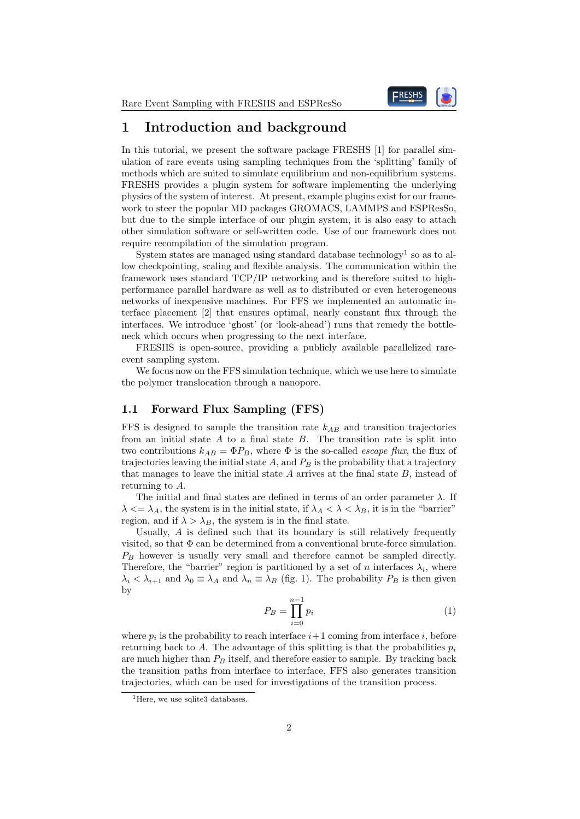

# 1 Introduction and background

In this tutorial, we present the software package FRESHS [1] for parallel simulation of rare events using sampling techniques from the 'splitting' family of methods which are suited to simulate equilibrium and non-equilibrium systems. FRESHS provides a plugin system for software implementing the underlying physics of the system of interest. At present, example plugins exist for our framework to steer the popular MD packages GROMACS, LAMMPS and ESPResSo, but due to the simple interface of our plugin system, it is also easy to attach other simulation software or self-written code. Use of our framework does not require recompilation of the simulation program.

System states are managed using standard database technology<sup>1</sup> so as to allow checkpointing, scaling and flexible analysis. The communication within the framework uses standard TCP/IP networking and is therefore suited to highperformance parallel hardware as well as to distributed or even heterogeneous networks of inexpensive machines. For FFS we implemented an automatic interface placement [2] that ensures optimal, nearly constant flux through the interfaces. We introduce 'ghost' (or 'look-ahead') runs that remedy the bottleneck which occurs when progressing to the next interface.

FRESHS is open-source, providing a publicly available parallelized rareevent sampling system.

We focus now on the FFS simulation technique, which we use here to simulate the polymer translocation through a nanopore.

#### 1.1 Forward Flux Sampling (FFS)

FFS is designed to sample the transition rate  $k_{AB}$  and transition trajectories from an initial state  $A$  to a final state  $B$ . The transition rate is split into two contributions  $k_{AB} = \Phi P_B$ , where  $\Phi$  is the so-called *escape flux*, the flux of trajectories leaving the initial state  $A$ , and  $P_B$  is the probability that a trajectory that manages to leave the initial state  $A$  arrives at the final state  $B$ , instead of returning to A.

The initial and final states are defined in terms of an order parameter  $\lambda$ . If  $\lambda \ll \lambda_A$ , the system is in the initial state, if  $\lambda_A < \lambda < \lambda_B$ , it is in the "barrier" region, and if  $\lambda > \lambda_B$ , the system is in the final state.

Usually,  $A$  is defined such that its boundary is still relatively frequently visited, so that  $\Phi$  can be determined from a conventional brute-force simulation.  $P_B$  however is usually very small and therefore cannot be sampled directly. Therefore, the "barrier" region is partitioned by a set of n interfaces  $\lambda_i$ , where  $\lambda_i < \lambda_{i+1}$  and  $\lambda_0 \equiv \lambda_A$  and  $\lambda_n \equiv \lambda_B$  (fig. 1). The probability  $P_B$  is then given by

$$
P_B = \prod_{i=0}^{n-1} p_i \tag{1}
$$

where  $p_i$  is the probability to reach interface  $i+1$  coming from interface i, before returning back to A. The advantage of this splitting is that the probabilities  $p_i$ are much higher than  $P_B$  itself, and therefore easier to sample. By tracking back the transition paths from interface to interface, FFS also generates transition trajectories, which can be used for investigations of the transition process.

<sup>&</sup>lt;sup>1</sup>Here, we use sqlite3 databases.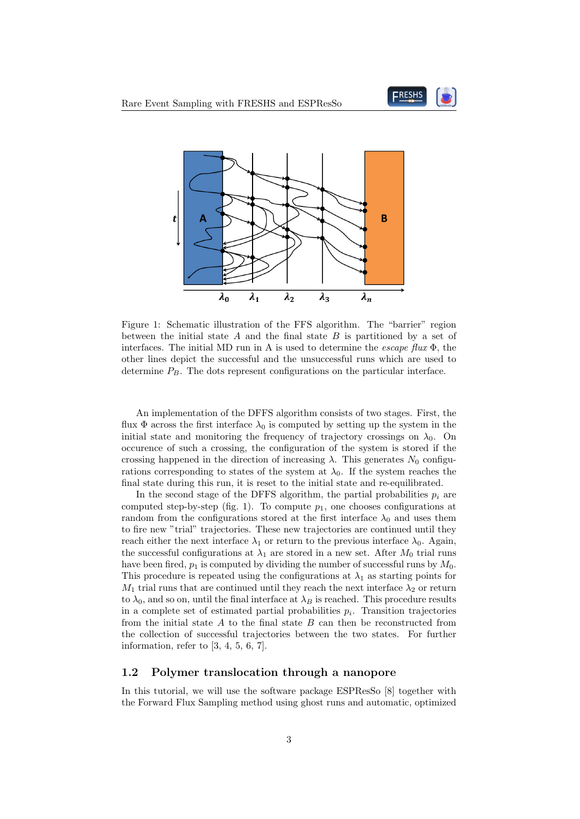



Figure 1: Schematic illustration of the FFS algorithm. The "barrier" region between the initial state  $A$  and the final state  $B$  is partitioned by a set of interfaces. The initial MD run in A is used to determine the *escape flux*  $\Phi$ , the other lines depict the successful and the unsuccessful runs which are used to determine  $P_B$ . The dots represent configurations on the particular interface.

An implementation of the DFFS algorithm consists of two stages. First, the flux  $\Phi$  across the first interface  $\lambda_0$  is computed by setting up the system in the initial state and monitoring the frequency of trajectory crossings on  $\lambda_0$ . On occurence of such a crossing, the configuration of the system is stored if the crossing happened in the direction of increasing  $\lambda$ . This generates  $N_0$  configurations corresponding to states of the system at  $\lambda_0$ . If the system reaches the final state during this run, it is reset to the initial state and re-equilibrated.

In the second stage of the DFFS algorithm, the partial probabilities  $p_i$  are computed step-by-step (fig. 1). To compute  $p_1$ , one chooses configurations at random from the configurations stored at the first interface  $\lambda_0$  and uses them to fire new "trial" trajectories. These new trajectories are continued until they reach either the next interface  $\lambda_1$  or return to the previous interface  $\lambda_0$ . Again, the successful configurations at  $\lambda_1$  are stored in a new set. After  $M_0$  trial runs have been fired,  $p_1$  is computed by dividing the number of successful runs by  $M_0$ . This procedure is repeated using the configurations at  $\lambda_1$  as starting points for  $M_1$  trial runs that are continued until they reach the next interface  $\lambda_2$  or return to  $\lambda_0$ , and so on, until the final interface at  $\lambda_B$  is reached. This procedure results in a complete set of estimated partial probabilities  $p_i$ . Transition trajectories from the initial state  $A$  to the final state  $B$  can then be reconstructed from the collection of successful trajectories between the two states. For further information, refer to [3, 4, 5, 6, 7].

#### 1.2 Polymer translocation through a nanopore

In this tutorial, we will use the software package ESPResSo [8] together with the Forward Flux Sampling method using ghost runs and automatic, optimized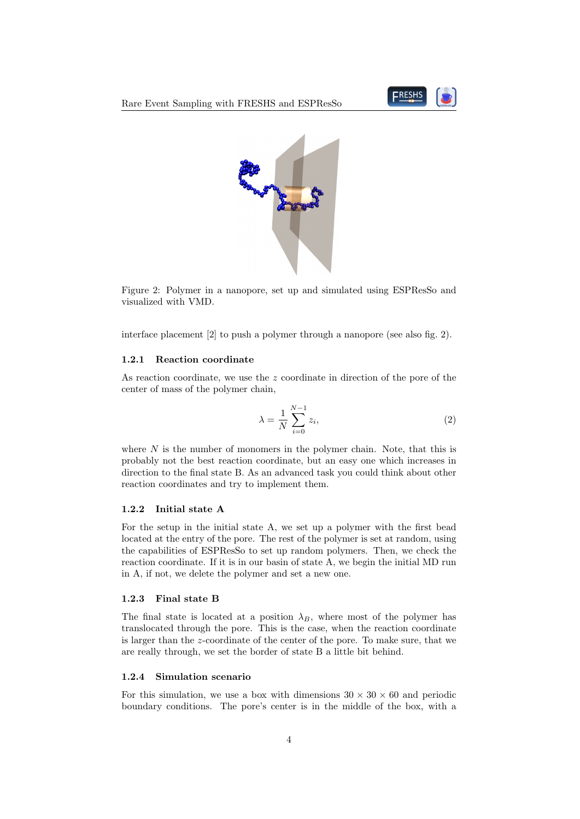



Figure 2: Polymer in a nanopore, set up and simulated using ESPResSo and visualized with VMD.

interface placement [2] to push a polymer through a nanopore (see also fig. 2).

#### 1.2.1 Reaction coordinate

As reaction coordinate, we use the z coordinate in direction of the pore of the center of mass of the polymer chain,

$$
\lambda = \frac{1}{N} \sum_{i=0}^{N-1} z_i,\tag{2}
$$

where  $N$  is the number of monomers in the polymer chain. Note, that this is probably not the best reaction coordinate, but an easy one which increases in direction to the final state B. As an advanced task you could think about other reaction coordinates and try to implement them.

#### 1.2.2 Initial state A

For the setup in the initial state A, we set up a polymer with the first bead located at the entry of the pore. The rest of the polymer is set at random, using the capabilities of ESPResSo to set up random polymers. Then, we check the reaction coordinate. If it is in our basin of state A, we begin the initial MD run in A, if not, we delete the polymer and set a new one.

#### 1.2.3 Final state B

The final state is located at a position  $\lambda_B$ , where most of the polymer has translocated through the pore. This is the case, when the reaction coordinate is larger than the z-coordinate of the center of the pore. To make sure, that we are really through, we set the border of state B a little bit behind.

#### 1.2.4 Simulation scenario

For this simulation, we use a box with dimensions  $30 \times 30 \times 60$  and periodic boundary conditions. The pore's center is in the middle of the box, with a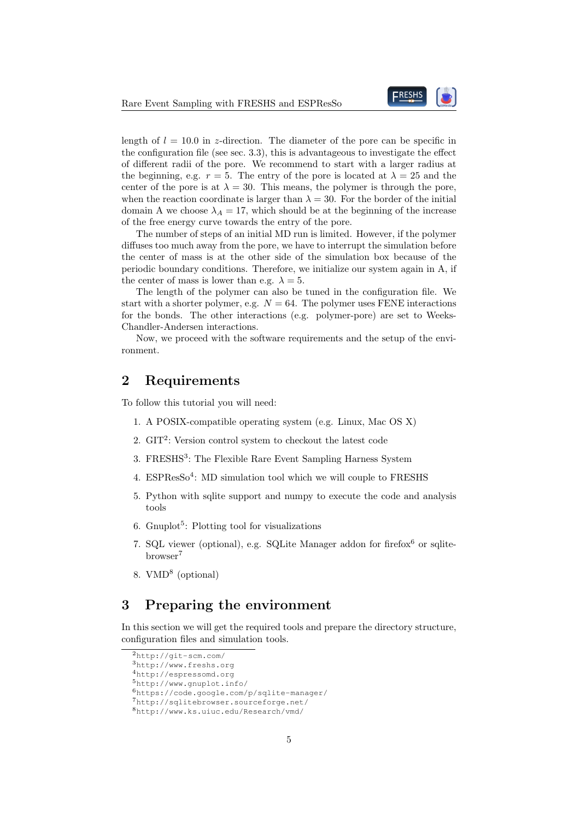

length of  $l = 10.0$  in z-direction. The diameter of the pore can be specific in the configuration file (see sec. 3.3), this is advantageous to investigate the effect of different radii of the pore. We recommend to start with a larger radius at the beginning, e.g.  $r = 5$ . The entry of the pore is located at  $\lambda = 25$  and the center of the pore is at  $\lambda = 30$ . This means, the polymer is through the pore, when the reaction coordinate is larger than  $\lambda = 30$ . For the border of the initial domain A we choose  $\lambda_A = 17$ , which should be at the beginning of the increase of the free energy curve towards the entry of the pore.

The number of steps of an initial MD run is limited. However, if the polymer diffuses too much away from the pore, we have to interrupt the simulation before the center of mass is at the other side of the simulation box because of the periodic boundary conditions. Therefore, we initialize our system again in A, if the center of mass is lower than e.g.  $\lambda = 5$ .

The length of the polymer can also be tuned in the configuration file. We start with a shorter polymer, e.g.  $N = 64$ . The polymer uses FENE interactions for the bonds. The other interactions (e.g. polymer-pore) are set to Weeks-Chandler-Andersen interactions.

Now, we proceed with the software requirements and the setup of the environment.

# 2 Requirements

To follow this tutorial you will need:

- 1. A POSIX-compatible operating system (e.g. Linux, Mac OS X)
- 2.  $GIT<sup>2</sup>$ : Version control system to checkout the latest code
- 3. FRESHS<sup>3</sup>: The Flexible Rare Event Sampling Harness System
- 4. ESPResSo<sup>4</sup>: MD simulation tool which we will couple to FRESHS
- 5. Python with sqlite support and numpy to execute the code and analysis tools
- 6. Gnuplot<sup>5</sup>: Plotting tool for visualizations
- 7. SQL viewer (optional), e.g. SQLite Manager addon for firefox $6$  or sqlitebrowser<sup>7</sup>
- 8. VMD<sup>8</sup> (optional)

# 3 Preparing the environment

In this section we will get the required tools and prepare the directory structure, configuration files and simulation tools.

<sup>2</sup>http://git-scm.com/

<sup>3</sup>http://www.freshs.org

<sup>4</sup>http://espressomd.org <sup>5</sup>http://www.gnuplot.info/

<sup>6</sup>https://code.google.com/p/sqlite-manager/

<sup>7</sup>http://sqlitebrowser.sourceforge.net/

<sup>8</sup>http://www.ks.uiuc.edu/Research/vmd/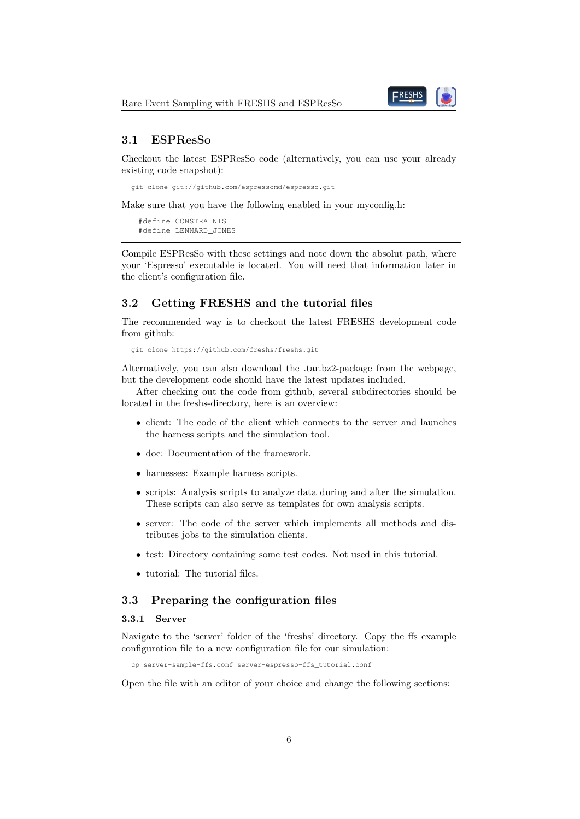

### 3.1 ESPResSo

Checkout the latest ESPResSo code (alternatively, you can use your already existing code snapshot):

```
git clone git://github.com/espressomd/espresso.git
```
Make sure that you have the following enabled in your myconfig.h:

#define CONSTRAINTS #define LENNARD\_JONES

Compile ESPResSo with these settings and note down the absolut path, where your 'Espresso' executable is located. You will need that information later in the client's configuration file.

### 3.2 Getting FRESHS and the tutorial files

The recommended way is to checkout the latest FRESHS development code from github:

```
git clone https://github.com/freshs/freshs.git
```
Alternatively, you can also download the .tar.bz2-package from the webpage, but the development code should have the latest updates included.

After checking out the code from github, several subdirectories should be located in the freshs-directory, here is an overview:

- client: The code of the client which connects to the server and launches the harness scripts and the simulation tool.
- doc: Documentation of the framework.
- harnesses: Example harness scripts.
- scripts: Analysis scripts to analyze data during and after the simulation. These scripts can also serve as templates for own analysis scripts.
- server: The code of the server which implements all methods and distributes jobs to the simulation clients.
- test: Directory containing some test codes. Not used in this tutorial.
- tutorial: The tutorial files.

### 3.3 Preparing the configuration files

#### 3.3.1 Server

Navigate to the 'server' folder of the 'freshs' directory. Copy the ffs example configuration file to a new configuration file for our simulation:

cp server-sample-ffs.conf server-espresso-ffs\_tutorial.conf

Open the file with an editor of your choice and change the following sections: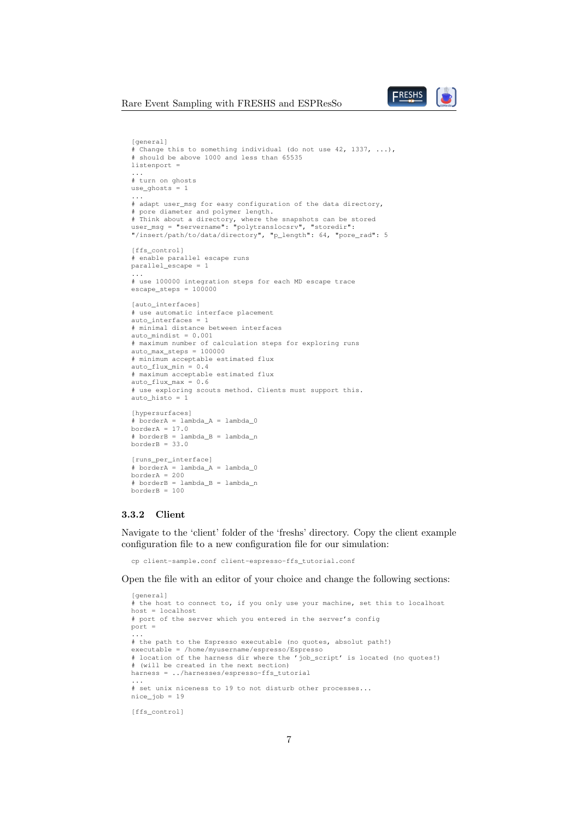#### Rare Event Sampling with FRESHS and ESPResSo



```
[general]
# Change this to something individual (do not use 42, 1337, ...),
# should be above 1000 and less than 65535
listenport =
...
# turn on ghosts
use\_ghosts = 1...
# adapt user_msg for easy configuration of the data directory,
# pore diameter and polymer length.
# Think about a directory, where the snapshots can be stored
user_msg = "servername": "polytranslocsrv", "storedir":
"/insert/path/to/data/directory", "p_length": 64, "pore_rad": 5
[ffs_control]
# enable parallel escape runs
parallel_escape = 1
...
# use 100000 integration steps for each MD escape trace
\text{escape\_steps} = 100000[auto_interfaces]
# use automatic interface placement
auto interfaces = 1
# minimal distance between interfaces
auto\_mindist = 0.001# maximum number of calculation steps for exploring runs
auto_max_steps = 100000
# minimum acceptable estimated flux
auto_flux_min = 0.4# maximum acceptable estimated flux
auto_flux_max = 0.6# use exploring scouts method. Clients must support this.
auto_histo = 1
[hypersurfaces]
# borderA = lambda_A = lambda_0borderA = 17.0# borderB = lambda_B = lambda_n
borderB = 33.0[runs_per_interface]
# borderA = lambda A = lambda 0
borderA = 200# borderB = lambda_B = lambda_n
borderB = 100
```
#### 3.3.2 Client

Navigate to the 'client' folder of the 'freshs' directory. Copy the client example configuration file to a new configuration file for our simulation:

cp client-sample.conf client-espresso-ffs\_tutorial.conf

Open the file with an editor of your choice and change the following sections:

```
[general]
# the host to connect to, if you only use your machine, set this to localhost
host = localhost
# port of the server which you entered in the server's config
port =
...
# the path to the Espresso executable (no quotes, absolut path!)
executable = /home/myusername/espresso/Espresso
# location of the harness dir where the 'job_script' is located (no quotes!)
# (will be created in the next section)
harness = ../harnesses/espresso-ffs_tutorial
...
# set unix niceness to 19 to not disturb other processes...
nice_job = 19
[ffs_control]
```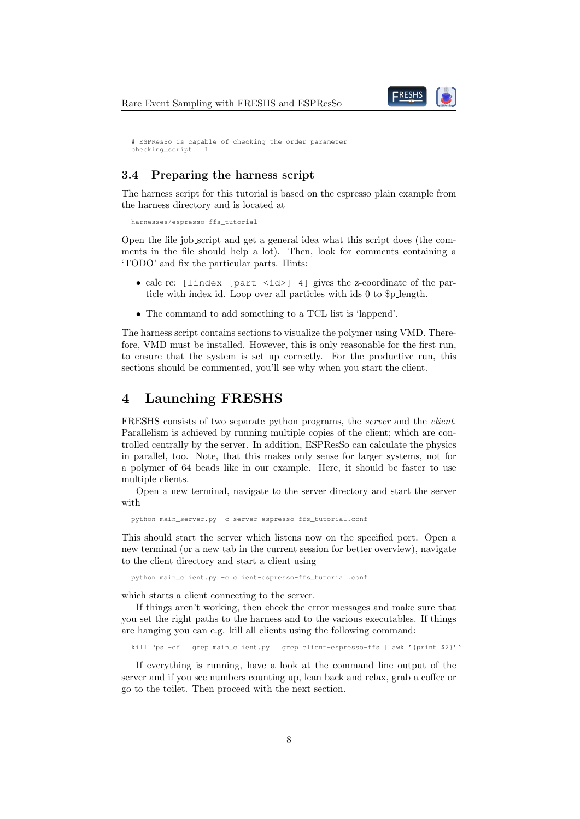

```
# ESPResSo is capable of checking the order parameter
checking script = 1
```
### 3.4 Preparing the harness script

The harness script for this tutorial is based on the espresso plain example from the harness directory and is located at

harnesses/espresso-ffs\_tutorial

Open the file job script and get a general idea what this script does (the comments in the file should help a lot). Then, look for comments containing a 'TODO' and fix the particular parts. Hints:

- calc\_rc: [lindex [part <id>] 4] gives the z-coordinate of the particle with index id. Loop over all particles with ids 0 to \$p length.
- The command to add something to a TCL list is 'lappend'.

The harness script contains sections to visualize the polymer using VMD. Therefore, VMD must be installed. However, this is only reasonable for the first run, to ensure that the system is set up correctly. For the productive run, this sections should be commented, you'll see why when you start the client.

# 4 Launching FRESHS

FRESHS consists of two separate python programs, the *server* and the *client*. Parallelism is achieved by running multiple copies of the client; which are controlled centrally by the server. In addition, ESPResSo can calculate the physics in parallel, too. Note, that this makes only sense for larger systems, not for a polymer of 64 beads like in our example. Here, it should be faster to use multiple clients.

Open a new terminal, navigate to the server directory and start the server with

python main\_server.py -c server-espresso-ffs\_tutorial.conf

This should start the server which listens now on the specified port. Open a new terminal (or a new tab in the current session for better overview), navigate to the client directory and start a client using

python main\_client.py -c client-espresso-ffs\_tutorial.conf

which starts a client connecting to the server.

If things aren't working, then check the error messages and make sure that you set the right paths to the harness and to the various executables. If things are hanging you can e.g. kill all clients using the following command:

kill 'ps -ef | grep main\_client.py | grep client-espresso-ffs | awk '{print \$2}''

If everything is running, have a look at the command line output of the server and if you see numbers counting up, lean back and relax, grab a coffee or go to the toilet. Then proceed with the next section.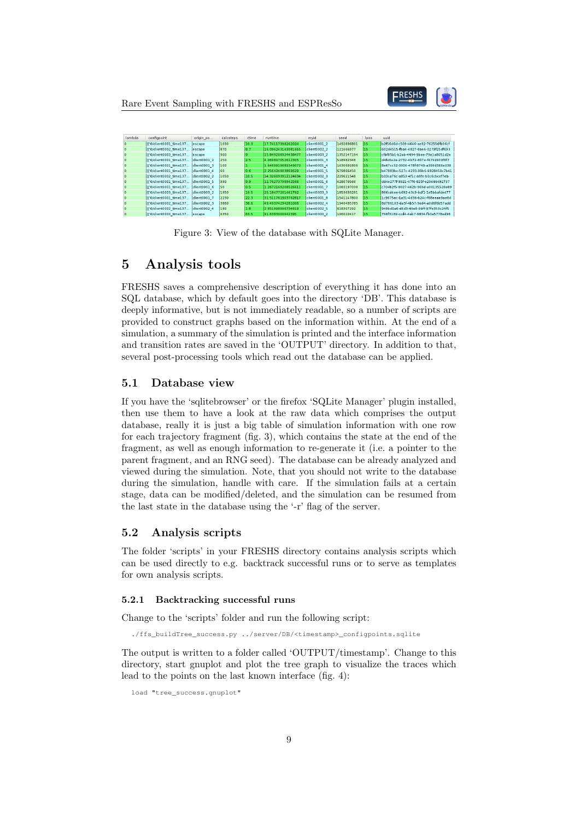Rare Event Sampling with FRESHS and ESPResSo



| lambda | configpoint                          | origin po     | calcsteps | ctime | runtime.           | mvid         | seed       | lpos | uuid                                 |  |
|--------|--------------------------------------|---------------|-----------|-------|--------------------|--------------|------------|------|--------------------------------------|--|
|        | II'0/client0001_time137              | lescape       | 1030      | 10.3  | 17.74117398262024  | client0001 2 | 1492836801 | 15   | b2f56d6d-c509-4646-ae32-762556fb06cf |  |
|        | II'0/client0002 time137              | lescape       | 870       | 18.7  | 16.096243143081665 | client0002 2 | 121666977  | 15   | 602d4515-fba4-4827-8ae6-0279f25df693 |  |
|        | II'0/client0003 time137              | escape        | 900       |       | 15.849206924438477 | client0003 2 | 1352147194 | 115  | cfbf85b1-b2ab-4494-9bee-79ela8051d2e |  |
|        | II'0/client0001 time137              | client0001 2  | 250       | 2.5   | 4.069807052612305  | client0001 3 | 518982348  | 15   | d4fe6e2e-2732-4b72-807e-f479d900f6f7 |  |
|        | [['0/client0001 time137              | client0001 3  | 1100      |       | .6469919681549072  | client0001 4 | 1630601806 | l15  | 8e67cc32-3906-478f-8749-a399d386e038 |  |
|        | II'0/client0001 time137              | client0001 4  | 60        | 0.6   | 2.256424903869629  | client0001 5 | 679866450  | 115  | b47883bc-527c-4233-99b6-9328459c7b41 |  |
|        | II'0/client0002 time137              | client0002 2  | 1050      | 10.5  | 14.326093912124634 | client0002 3 | 229621548  | 15   | b33ca76c-a853-4f1c-a9fe-b0c6cbcef7eb |  |
|        | II'0/client0001 time137              | client0001 5  | 990       | و وا  | 12.76273798942566  | client0001 6 | 428070566  | l15  | dd4e277f-3921-47f0-825f-e20446492737 |  |
|        | [['0/client0001 time137 client0001 6 |               | 50        | lo. 5 | 1.2672169208526611 | client0001 7 | 1083197038 | l15  | c704b2f5-0027-462b-969d-a00135528a89 |  |
|        | II'0/client0003 time137              | client0003 2  | 1950      | 19.5  | 25.18477201461792  | client0003 3 | 1853633291 | 15   | 866cd4ee-b692-43c9-bdf1-1e5bbafde477 |  |
|        | II'0/client0001 time137              | client0001 7  | 2230      | 22.3  | 31.511761903762817 | client0001 8 | 1541147800 | 15   | 1c9675ec-1a31-4d36-b24c-f68eeae9ae6d |  |
|        | II'0/client0002 time137              | Iclient0002 3 | 3860      | 38.6  | 49 49374294281006  | client0002 4 | 1940435785 | l15  | 8d786103-da5f-4b57-9ed4-a0d6f6b57add |  |
|        | II'0/client0002 time137              | client0002 4  | 180       | 1.8   | 2.651998996734619  | client0002 5 | 618307292  | 15   | 949bd0a0-d6d3-49e8-9bff-97fe359c24f5 |  |
|        |                                      |               |           |       |                    |              |            |      |                                      |  |

Figure 3: View of the database with SQLite Manager.

# 5 Analysis tools

FRESHS saves a comprehensive description of everything it has done into an SQL database, which by default goes into the directory 'DB'. This database is deeply informative, but is not immediately readable, so a number of scripts are provided to construct graphs based on the information within. At the end of a simulation, a summary of the simulation is printed and the interface information and transition rates are saved in the 'OUTPUT' directory. In addition to that, several post-processing tools which read out the database can be applied.

#### 5.1 Database view

If you have the 'sqlitebrowser' or the firefox 'SQLite Manager' plugin installed, then use them to have a look at the raw data which comprises the output database, really it is just a big table of simulation information with one row for each trajectory fragment (fig. 3), which contains the state at the end of the fragment, as well as enough information to re-generate it (i.e. a pointer to the parent fragment, and an RNG seed). The database can be already analyzed and viewed during the simulation. Note, that you should not write to the database during the simulation, handle with care. If the simulation fails at a certain stage, data can be modified/deleted, and the simulation can be resumed from the last state in the database using the '-r' flag of the server.

#### 5.2 Analysis scripts

The folder 'scripts' in your FRESHS directory contains analysis scripts which can be used directly to e.g. backtrack successful runs or to serve as templates for own analysis scripts.

#### 5.2.1 Backtracking successful runs

Change to the 'scripts' folder and run the following script:

./ffs\_buildTree\_success.py ../server/DB/<timestamp>\_configpoints.sqlite

The output is written to a folder called 'OUTPUT/timestamp'. Change to this directory, start gnuplot and plot the tree graph to visualize the traces which lead to the points on the last known interface (fig. 4):

load "tree\_success.gnuplot"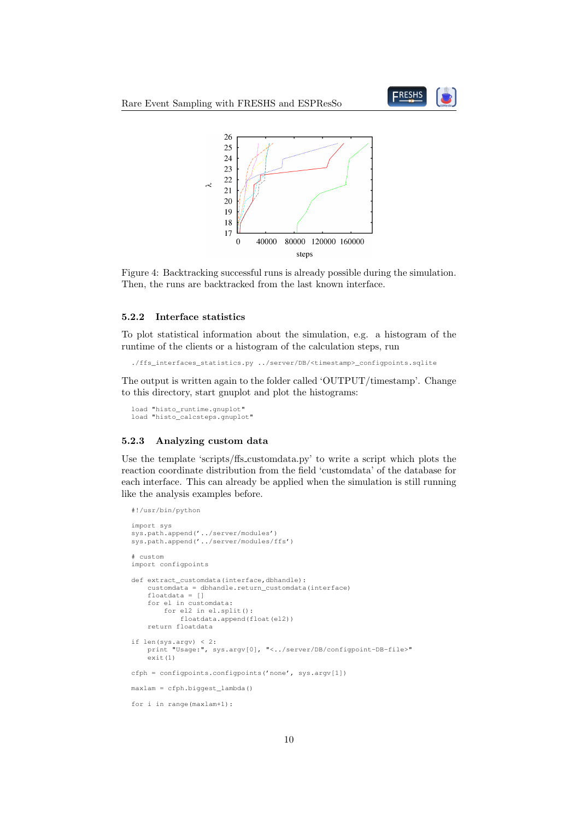



Figure 4: Backtracking successful runs is already possible during the simulation. Then, the runs are backtracked from the last known interface.

#### 5.2.2 Interface statistics

To plot statistical information about the simulation, e.g. a histogram of the runtime of the clients or a histogram of the calculation steps, run

./ffs\_interfaces\_statistics.py ../server/DB/<timestamp>\_configpoints.sqlite

The output is written again to the folder called 'OUTPUT/timestamp'. Change to this directory, start gnuplot and plot the histograms:

```
load "histo_runtime.gnuplot"
load "histo_calcsteps.gnuplot"
```
#### 5.2.3 Analyzing custom data

Use the template 'scripts/ffs customdata.py' to write a script which plots the reaction coordinate distribution from the field 'customdata' of the database for each interface. This can already be applied when the simulation is still running like the analysis examples before.

```
#!/usr/bin/python
import sys
sys.path.append('../server/modules')
sys.path.append('../server/modules/ffs')
# custom
import configpoints
def extract customdata(interface,dbhandle):
    customdata = dbhandle.return_customdata(interface)
    floatdata = []
    for el in customdata:
        for el2 in el.split():
            floatdata.append(float(el2))
    return floatdata
if len(sys.argv) < 2:
    print "Usage:", sys.argv[0], "<../server/DB/configpoint-DB-file>"
    \stackrel{\sim}{\approx}it (1)
cfph = configpoints.configpoints('none', sys.argv[1])
maxlam = cfph.biggest_lambda()
for i in range(maxlam+1):
```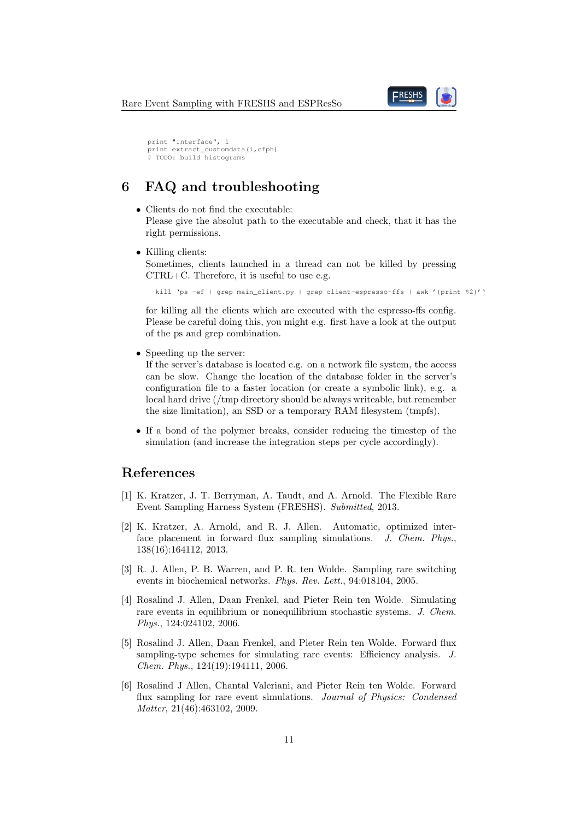

```
print "Interface", i
print extract_customdata(i,cfph)
# TODO: build histograms
```
# 6 FAQ and troubleshooting

- Clients do not find the executable: Please give the absolut path to the executable and check, that it has the right permissions.
- Killing clients:

Sometimes, clients launched in a thread can not be killed by pressing CTRL+C. Therefore, it is useful to use e.g.

kill 'ps -ef | grep main\_client.py | grep client-espresso-ffs | awk '{print \$2}''

for killing all the clients which are executed with the espresso-ffs config. Please be careful doing this, you might e.g. first have a look at the output of the ps and grep combination.

• Speeding up the server:

If the server's database is located e.g. on a network file system, the access can be slow. Change the location of the database folder in the server's configuration file to a faster location (or create a symbolic link), e.g. a local hard drive (/tmp directory should be always writeable, but remember the size limitation), an SSD or a temporary RAM filesystem (tmpfs).

• If a bond of the polymer breaks, consider reducing the timestep of the simulation (and increase the integration steps per cycle accordingly).

# References

- [1] K. Kratzer, J. T. Berryman, A. Taudt, and A. Arnold. The Flexible Rare Event Sampling Harness System (FRESHS). Submitted, 2013.
- [2] K. Kratzer, A. Arnold, and R. J. Allen. Automatic, optimized interface placement in forward flux sampling simulations. J. Chem. Phys., 138(16):164112, 2013.
- [3] R. J. Allen, P. B. Warren, and P. R. ten Wolde. Sampling rare switching events in biochemical networks. Phys. Rev. Lett., 94:018104, 2005.
- [4] Rosalind J. Allen, Daan Frenkel, and Pieter Rein ten Wolde. Simulating rare events in equilibrium or nonequilibrium stochastic systems. J. Chem. Phys., 124:024102, 2006.
- [5] Rosalind J. Allen, Daan Frenkel, and Pieter Rein ten Wolde. Forward flux sampling-type schemes for simulating rare events: Efficiency analysis. J. Chem. Phys., 124(19):194111, 2006.
- [6] Rosalind J Allen, Chantal Valeriani, and Pieter Rein ten Wolde. Forward flux sampling for rare event simulations. Journal of Physics: Condensed Matter, 21(46):463102, 2009.